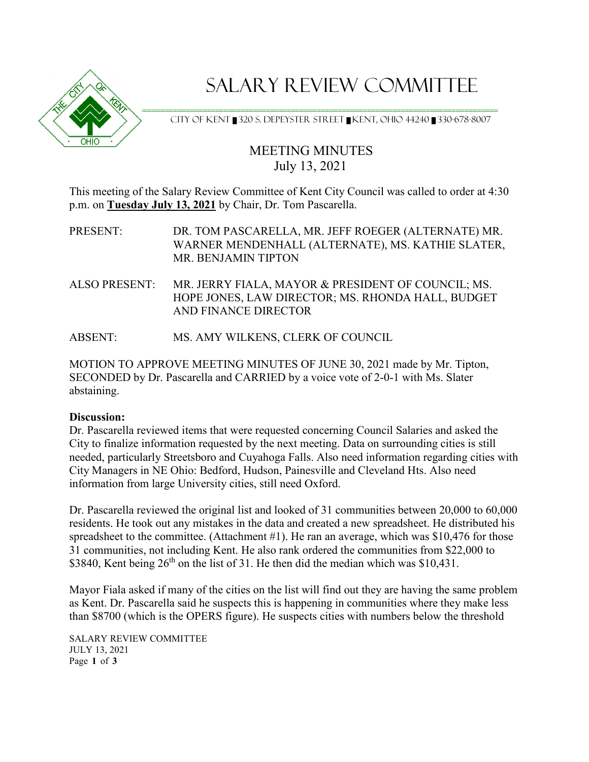

## SALARY REVIEW COMMITTEE

======================================================================================  $\triangledown$   $\rightarrow$   $\triangledown$  CITY OF KENT  $\blacksquare$ 320 S. DEPEYSTER STREET  $\blacksquare$ KENT, OHIO 44240  $\blacksquare$ 330-678-8007

## MEETING MINUTES July 13, 2021

This meeting of the Salary Review Committee of Kent City Council was called to order at 4:30 p.m. on **Tuesday July 13, 2021** by Chair, Dr. Tom Pascarella.

PRESENT:DR. TOM PASCARELLA, MR. JEFF ROEGER (ALTERNATE) MR. WARNER MENDENHALL (ALTERNATE), MS. KATHIE SLATER, MR. BENJAMIN TIPTON

ALSO PRESENT: MR. JERRY FIALA, MAYOR & PRESIDENT OF COUNCIL; MS. HOPE JONES, LAW DIRECTOR; MS. RHONDA HALL, BUDGET AND FINANCE DIRECTOR

ABSENT: MS. AMY WILKENS, CLERK OF COUNCIL

MOTION TO APPROVE MEETING MINUTES OF JUNE 30, 2021 made by Mr. Tipton, SECONDED by Dr. Pascarella and CARRIED by a voice vote of 2-0-1 with Ms. Slater abstaining.

## **Discussion:**

Dr. Pascarella reviewed items that were requested concerning Council Salaries and asked the City to finalize information requested by the next meeting. Data on surrounding cities is still needed, particularly Streetsboro and Cuyahoga Falls. Also need information regarding cities with City Managers in NE Ohio: Bedford, Hudson, Painesville and Cleveland Hts. Also need information from large University cities, still need Oxford.

Dr. Pascarella reviewed the original list and looked of 31 communities between 20,000 to 60,000 residents. He took out any mistakes in the data and created a new spreadsheet. He distributed his spreadsheet to the committee. (Attachment #1). He ran an average, which was \$10,476 for those 31 communities, not including Kent. He also rank ordered the communities from \$22,000 to \$3840, Kent being  $26<sup>th</sup>$  on the list of 31. He then did the median which was \$10,431.

Mayor Fiala asked if many of the cities on the list will find out they are having the same problem as Kent. Dr. Pascarella said he suspects this is happening in communities where they make less than \$8700 (which is the OPERS figure). He suspects cities with numbers below the threshold

SALARY REVIEW COMMITTEE JULY 13, 2021 Page **1** of **3**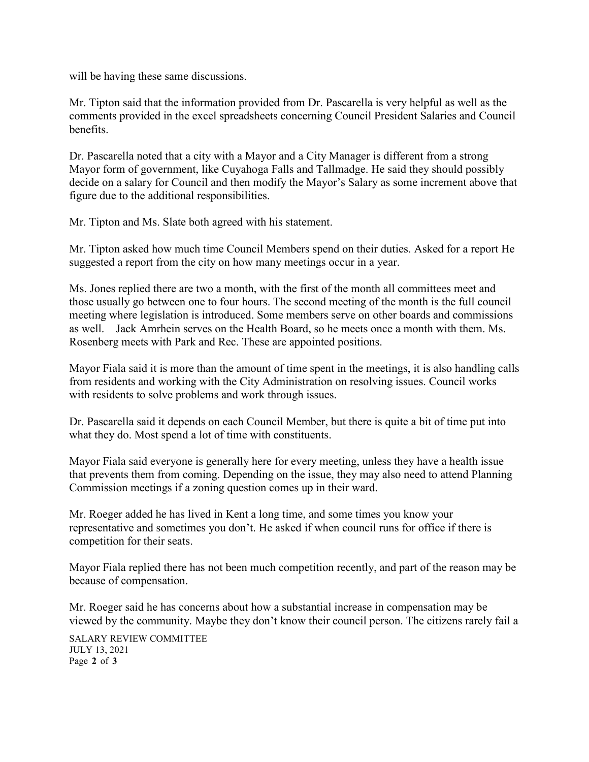will be having these same discussions.

Mr. Tipton said that the information provided from Dr. Pascarella is very helpful as well as the comments provided in the excel spreadsheets concerning Council President Salaries and Council benefits.

Dr. Pascarella noted that a city with a Mayor and a City Manager is different from a strong Mayor form of government, like Cuyahoga Falls and Tallmadge. He said they should possibly decide on a salary for Council and then modify the Mayor's Salary as some increment above that figure due to the additional responsibilities.

Mr. Tipton and Ms. Slate both agreed with his statement.

Mr. Tipton asked how much time Council Members spend on their duties. Asked for a report He suggested a report from the city on how many meetings occur in a year.

Ms. Jones replied there are two a month, with the first of the month all committees meet and those usually go between one to four hours. The second meeting of the month is the full council meeting where legislation is introduced. Some members serve on other boards and commissions as well. Jack Amrhein serves on the Health Board, so he meets once a month with them. Ms. Rosenberg meets with Park and Rec. These are appointed positions.

Mayor Fiala said it is more than the amount of time spent in the meetings, it is also handling calls from residents and working with the City Administration on resolving issues. Council works with residents to solve problems and work through issues.

Dr. Pascarella said it depends on each Council Member, but there is quite a bit of time put into what they do. Most spend a lot of time with constituents.

Mayor Fiala said everyone is generally here for every meeting, unless they have a health issue that prevents them from coming. Depending on the issue, they may also need to attend Planning Commission meetings if a zoning question comes up in their ward.

Mr. Roeger added he has lived in Kent a long time, and some times you know your representative and sometimes you don't. He asked if when council runs for office if there is competition for their seats.

Mayor Fiala replied there has not been much competition recently, and part of the reason may be because of compensation.

Mr. Roeger said he has concerns about how a substantial increase in compensation may be viewed by the community. Maybe they don't know their council person. The citizens rarely fail a

SALARY REVIEW COMMITTEE JULY 13, 2021 Page **2** of **3**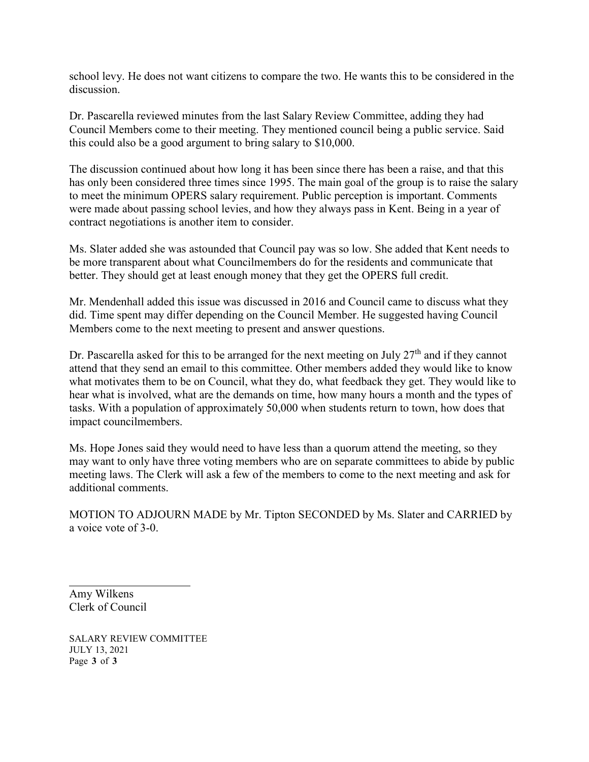school levy. He does not want citizens to compare the two. He wants this to be considered in the discussion.

Dr. Pascarella reviewed minutes from the last Salary Review Committee, adding they had Council Members come to their meeting. They mentioned council being a public service. Said this could also be a good argument to bring salary to \$10,000.

The discussion continued about how long it has been since there has been a raise, and that this has only been considered three times since 1995. The main goal of the group is to raise the salary to meet the minimum OPERS salary requirement. Public perception is important. Comments were made about passing school levies, and how they always pass in Kent. Being in a year of contract negotiations is another item to consider.

Ms. Slater added she was astounded that Council pay was so low. She added that Kent needs to be more transparent about what Councilmembers do for the residents and communicate that better. They should get at least enough money that they get the OPERS full credit.

Mr. Mendenhall added this issue was discussed in 2016 and Council came to discuss what they did. Time spent may differ depending on the Council Member. He suggested having Council Members come to the next meeting to present and answer questions.

Dr. Pascarella asked for this to be arranged for the next meeting on July  $27<sup>th</sup>$  and if they cannot attend that they send an email to this committee. Other members added they would like to know what motivates them to be on Council, what they do, what feedback they get. They would like to hear what is involved, what are the demands on time, how many hours a month and the types of tasks. With a population of approximately 50,000 when students return to town, how does that impact councilmembers.

Ms. Hope Jones said they would need to have less than a quorum attend the meeting, so they may want to only have three voting members who are on separate committees to abide by public meeting laws. The Clerk will ask a few of the members to come to the next meeting and ask for additional comments.

MOTION TO ADJOURN MADE by Mr. Tipton SECONDED by Ms. Slater and CARRIED by a voice vote of 3-0.

Amy Wilkens Clerk of Council

SALARY REVIEW COMMITTEE JULY 13, 2021 Page **3** of **3**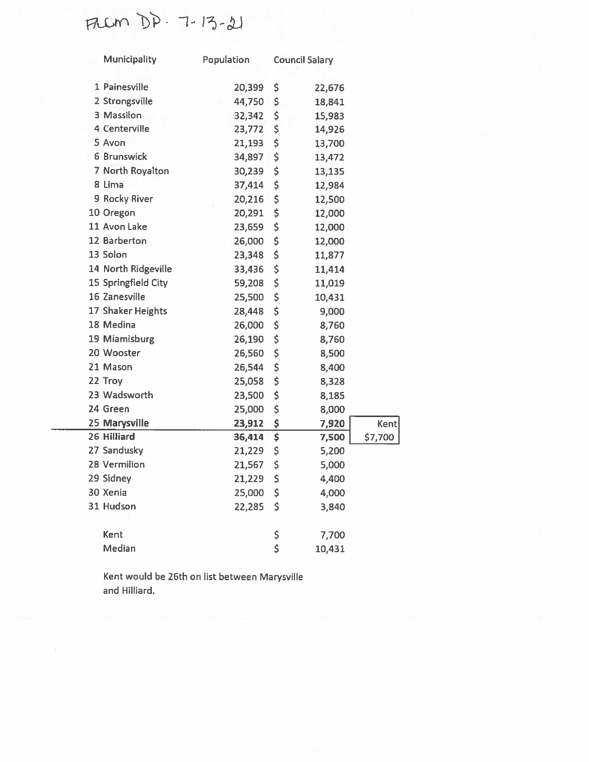FREM DD. 7-13-21

| <b>Municipality</b> | Population | <b>Council Salary</b> |        |             |
|---------------------|------------|-----------------------|--------|-------------|
| 1 Painesville       | 20,399     | \$                    | 22,676 |             |
| 2 Strongsville      | 44,750     | \$                    | 18,841 |             |
| 3 Massilon          | 32,342     | \$                    | 15,983 |             |
| 4 Centerville       | 23,772     | \$                    | 14,926 |             |
| 5 Avon              | 21,193     | \$                    | 13,700 |             |
| <b>6 Brunswick</b>  | 34,897     | \$                    | 13,472 |             |
| 7 North Royalton    | 30,239     | \$                    | 13,135 |             |
| 8 Lima              | 37,414     | \$                    | 12,984 |             |
| 9 Rocky River       | 20,216     | \$                    | 12,500 |             |
| 10 Oregon           | 20,291     | \$                    | 12,000 |             |
| 11 Avon Lake        | 23,659     | \$                    | 12,000 |             |
| 12 Barberton        | 26,000     | \$                    | 12,000 |             |
| 13 Solon            | 23,348     | \$                    | 11,877 |             |
| 14 North Ridgeville | 33,436     | \$                    | 11,414 |             |
| 15 Springfield City | 59,208     | \$                    | 11,019 |             |
| 16 Zanesville       | 25,500     | \$                    | 10,431 |             |
| 17 Shaker Heights   | 28,448     | \$                    | 9,000  |             |
| 18 Medina           | 26,000     | \$                    | 8,760  |             |
| 19 Miamisburg       | 26,190     | \$                    | 8,760  |             |
| 20 Wooster          | 26,560     | \$                    | 8,500  |             |
| 21 Mason            | 26,544     | \$                    | 8,400  |             |
| 22 Troy             | 25,058     | \$                    | 8,328  |             |
| 23 Wadsworth        | 23,500     | \$                    | 8,185  |             |
| 24 Green            | 25,000     | \$                    | 8,000  |             |
| 25 Marysville       | 23,912     | \$                    | 7,920  | <b>Kent</b> |
| 26 Hilliard         | 36,414     | \$                    | 7,500  | \$7,700     |
| 27 Sandusky         | 21,229     | \$                    | 5,200  |             |
| 28 Vermilion        | 21,567     | \$                    | 5,000  |             |
| 29 Sidney           | 21,229     | \$                    | 4,400  |             |
| 30 Xenia            | 25,000     | \$                    | 4,000  |             |
| 31 Hudson           | 22,285     | \$                    | 3,840  |             |
| Kent                |            | \$                    | 7,700  |             |
| Median              |            | Ś                     | 10,431 |             |

Kent would be 26th on list between Marysville and Hilliard.